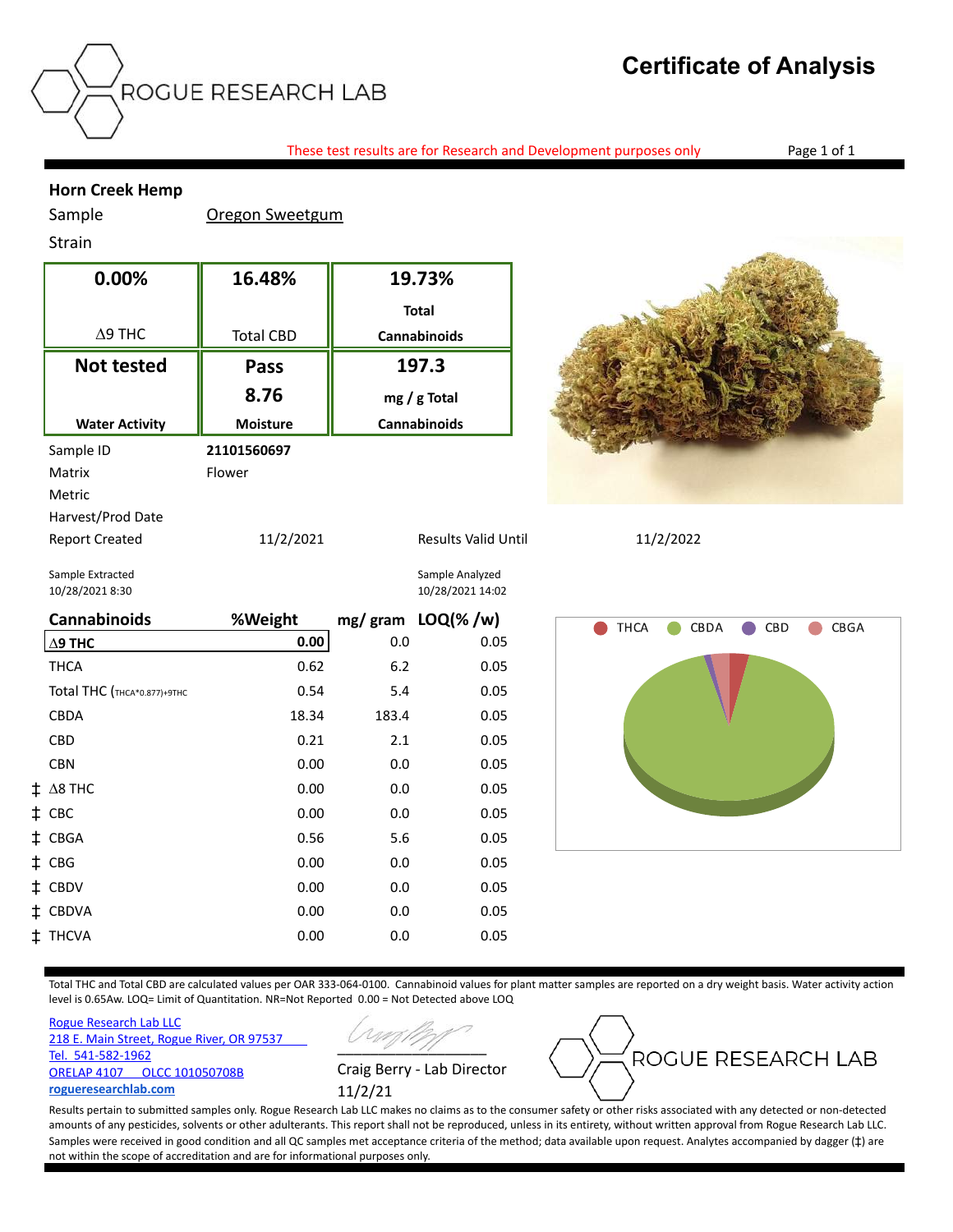## **Certificate of Analysis**

These test results are for Research and Development purposes only Page 1 of 1

## **Horn Creek Hemp**

Sample **Oregon Sweetgum** 

## Strain

| 0.00%                 | 16.48%           | 19.73%                     |           |
|-----------------------|------------------|----------------------------|-----------|
|                       |                  | <b>Total</b>               |           |
| $\Delta$ 9 THC        | <b>Total CBD</b> | <b>Cannabinoids</b>        |           |
| <b>Not tested</b>     | Pass             | 197.3                      |           |
|                       | 8.76             | mg / g Total               |           |
| <b>Water Activity</b> | <b>Moisture</b>  | <b>Cannabinoids</b>        |           |
| Sample ID             | 21101560697      |                            |           |
| Matrix                | Flower           |                            |           |
| Metric                |                  |                            |           |
| Harvest/Prod Date     |                  |                            |           |
| <b>Report Created</b> | 11/2/2021        | <b>Results Valid Until</b> | 11/2/2022 |



Sample Extracted Sample Analyzed 10/28/2021 8:30 10/28/2021 14:02

| <b>Cannabinoids</b>         | %Weight |       | mg/gram LOQ(%/w) |
|-----------------------------|---------|-------|------------------|
| $\Delta$ 9 THC              | 0.00    | 0.0   | 0.05             |
| THCA                        | 0.62    | 6.2   | 0.05             |
| Total THC (THCA*0.877)+9THC | 0.54    | 5.4   | 0.05             |
| <b>CBDA</b>                 | 18.34   | 183.4 | 0.05             |
| <b>CBD</b>                  | 0.21    | 2.1   | 0.05             |
| <b>CBN</b>                  | 0.00    | 0.0   | 0.05             |
| $\ddagger$ A8 THC           | 0.00    | 0.0   | 0.05             |
| $\ddagger$ CBC              | 0.00    | 0.0   | 0.05             |
| ‡ CBGA                      | 0.56    | 5.6   | 0.05             |
| ‡ CBG                       | 0.00    | 0.0   | 0.05             |
| ‡ CBDV                      | 0.00    | 0.0   | 0.05             |
| ‡ CBDVA                     | 0.00    | 0.0   | 0.05             |
| ‡ THCVA                     | 0.00    | 0.0   | 0.05             |



Total THC and Total CBD are calculated values per OAR 333-064-0100. Cannabinoid values for plant matter samples are reported on a dry weight basis. Water activity action level is 0.65Aw. LOQ= Limit of Quantitation. NR=Not Reported 0.00 = Not Detected above LOQ

[Rogue Research Lab LLC](http://rogueresearchlab.com/) [218 E. Main Street, Rogue River, OR 97537](http://rogueresearchlab.com/)  [Tel. 541-582-1962](http://rogueresearchlab.com/) [ORELAP 4107 OLCC 101050708B](http://rogueresearchlab.com/) **[rogueresearchlab.com](http://rogueresearchlab.com/)**

 $\overline{\phantom{a}}$ Craig Berry - Lab Director 11/2/21



Results pertain to submitted samples only. Rogue Research Lab LLC makes no claims as to the consumer safety or other risks associated with any detected or non-detected amounts of any pesticides, solvents or other adulterants. This report shall not be reproduced, unless in its entirety, without written approval from Rogue Research Lab LLC. Samples were received in good condition and all QC samples met acceptance criteria of the method; data available upon request. Analytes accompanied by dagger ( $\ddagger$ ) are not within the scope of accreditation and are for informational purposes only.